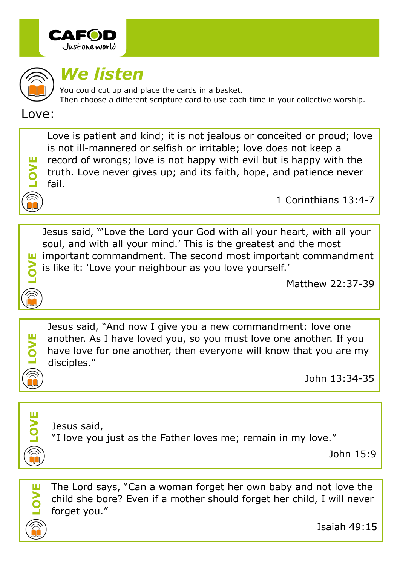



# *We listen*

You could cut up and place the cards in a basket. Then choose a different scripture card to use each time in your collective worship.

Love:



Love is patient and kind; it is not jealous or conceited or proud; love is not ill-mannered or selfish or irritable; love does not keep a record of wrongs; love is not happy with evil but is happy with the truth. Love never gives up; and its faith, hope, and patience never fail.

1 Corinthians 13:4-7

Jesus said, "'Love the Lord your God with all your heart, with all your soul, and with all your mind.' This is the greatest and the most **u** important commandment. The second most important commandment<br> **L** is like it: 'Love your neighbour as you love yourself.'<br> **Letting 1992-22 20** is like it: 'Love your neighbour as you love yourself.'

Matthew 22:37-39



Jesus said, "And now I give you a new commandment: love one another. As I have loved you, so you must love one another. If you have love for one another, then everyone will know that you are my disciples."

John 13:34-35



Jesus said, "I love you just as the Father loves me; remain in my love."

John 15:9



The Lord says, "Can a woman forget her own baby and not love the child she bore? Even if a mother should forget her child, I will never forget you."

Isaiah 49:15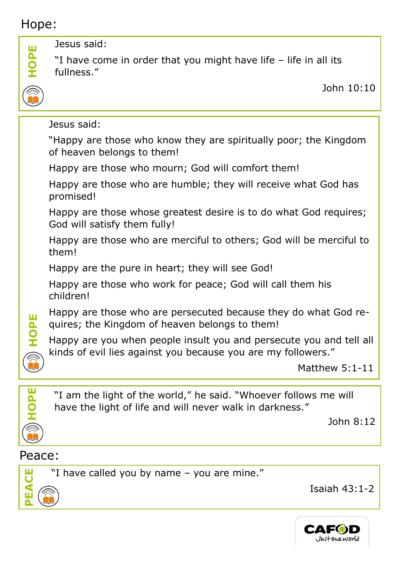## Hope:

**HOPE**

Jesus said:

"I have come in order that you might have life – life in all its fullness."

John 10:10

Jesus said:

"Happy are those who know they are spiritually poor; the Kingdom of heaven belongs to them!

Happy are those who mourn; God will comfort them!

Happy are those who are humble; they will receive what God has promised!

Happy are those whose greatest desire is to do what God requires; God will satisfy them fully!

Happy are those who are merciful to others; God will be merciful to them!

Happy are the pure in heart; they will see God!

Happy are those who work for peace; God will call them his children!

Happy are those who are persecuted because they do what God requires; the Kingdom of heaven belongs to them!

Happy are you when people insult you and persecute you and tell all kinds of evil lies against you because you are my followers."

Matthew 5:1-11



HOPE

"I am the light of the world," he said. "Whoever follows me will have the light of life and will never walk in darkness."

John 8:12

#### Peace:



"I have called you by name – you are mine."

Isaiah 43:1-2

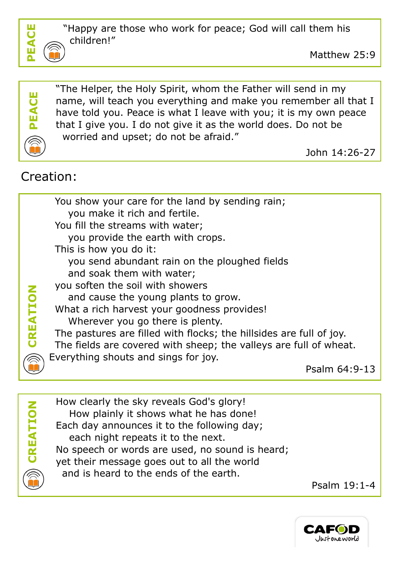

 "Happy are those who work for peace; God will call them his children!"



"The Helper, the Holy Spirit, whom the Father will send in my name, will teach you everything and make you remember all that I have told you. Peace is what I leave with you; it is my own peace that I give you. I do not give it as the world does. Do not be worried and upset; do not be afraid."

John 14:26-27

## Creation:



CREATION **CREATION**

**CREATION**

How clearly the sky reveals God's glory! How plainly it shows what he has done! Each day announces it to the following day; each night repeats it to the next. No speech or words are used, no sound is heard; yet their message goes out to all the world and is heard to the ends of the earth.

Psalm 19:1-4

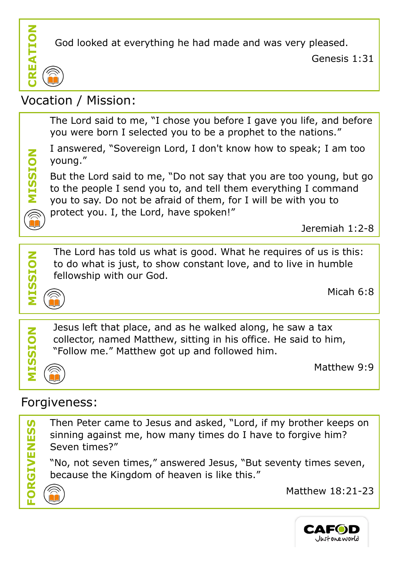God looked at everything he had made and was very pleased.

Genesis 1:31

## Vocation / Mission:

The Lord said to me, "I chose you before I gave you life, and before you were born I selected you to be a prophet to the nations."

I answered, "Sovereign Lord, I don't know how to speak; I am too young."



But the Lord said to me, "Do not say that you are too young, but go to the people I send you to, and tell them everything I command you to say. Do not be afraid of them, for I will be with you to protect you. I, the Lord, have spoken!"

Jeremiah 1:2-8

The Lord has told us what is good. What he requires of us is this: to do what is just, to show constant love, and to live in humble fellowship with our God.

Micah 6:8



**FORGIVENESS**

Jesus left that place, and as he walked along, he saw a tax collector, named Matthew, sitting in his office. He said to him, "Follow me." Matthew got up and followed him.

Matthew 9:9

#### Forgiveness:

Then Peter came to Jesus and asked, "Lord, if my brother keeps on FORGIVENESS sinning against me, how many times do I have to forgive him? Seven times?"

"No, not seven times," answered Jesus, "But seventy times seven, because the Kingdom of heaven is like this."

Matthew 18:21-23

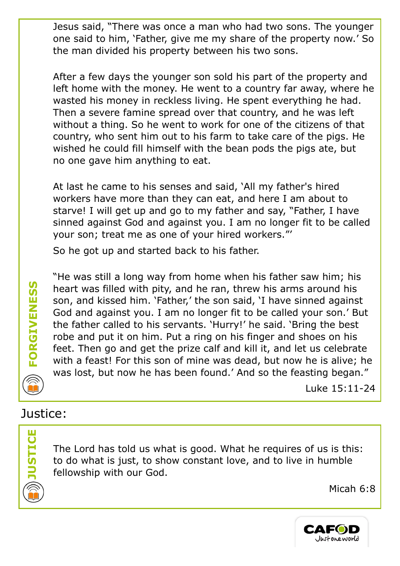Jesus said, "There was once a man who had two sons. The younger one said to him, 'Father, give me my share of the property now.' So the man divided his property between his two sons.

After a few days the younger son sold his part of the property and left home with the money. He went to a country far away, where he wasted his money in reckless living. He spent everything he had. Then a severe famine spread over that country, and he was left without a thing. So he went to work for one of the citizens of that country, who sent him out to his farm to take care of the pigs. He wished he could fill himself with the bean pods the pigs ate, but no one gave him anything to eat.

At last he came to his senses and said, 'All my father's hired workers have more than they can eat, and here I am about to starve! I will get up and go to my father and say, "Father, I have sinned against God and against you. I am no longer fit to be called your son; treat me as one of your hired workers."'

So he got up and started back to his father.

"He was still a long way from home when his father saw him; his FORGIVENESS **FORGIVENESS** heart was filled with pity, and he ran, threw his arms around his son, and kissed him. 'Father,' the son said, 'I have sinned against God and against you. I am no longer fit to be called your son.' But the father called to his servants. 'Hurry!' he said. 'Bring the best robe and put it on him. Put a ring on his finger and shoes on his feet. Then go and get the prize calf and kill it, and let us celebrate with a feast! For this son of mine was dead, but now he is alive; he was lost, but now he has been found.' And so the feasting began."

Luke 15:11-24

#### Justice:



The Lord has told us what is good. What he requires of us is this: to do what is just, to show constant love, and to live in humble fellowship with our God.

Micah 6:8

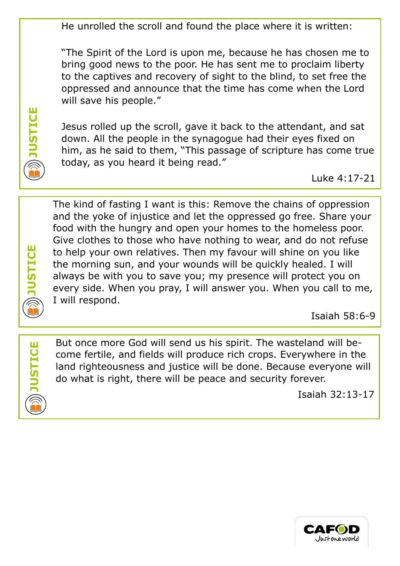He unrolled the scroll and found the place where it is written:

"The Spirit of the Lord is upon me, because he has chosen me to bring good news to the poor. He has sent me to proclaim liberty to the captives and recovery of sight to the blind, to set free the oppressed and announce that the time has come when the Lord will save his people."



Jesus rolled up the scroll, gave it back to the attendant, and sat down. All the people in the synagogue had their eyes fixed on him, as he said to them, "This passage of scripture has come true today, as you heard it being read."

Luke 4:17-21



The kind of fasting I want is this: Remove the chains of oppression and the yoke of injustice and let the oppressed go free. Share your food with the hungry and open your homes to the homeless poor. Give clothes to those who have nothing to wear, and do not refuse to help your own relatives. Then my favour will shine on you like the morning sun, and your wounds will be quickly healed. I will always be with you to save you; my presence will protect you on every side. When you pray, I will answer you. When you call to me, I will respond.

Isaiah 58:6-9

USTICE **JUSTICE**

But once more God will send us his spirit. The wasteland will become fertile, and fields will produce rich crops. Everywhere in the land righteousness and justice will be done. Because everyone will do what is right, there will be peace and security forever.

Isaiah 32:13-17